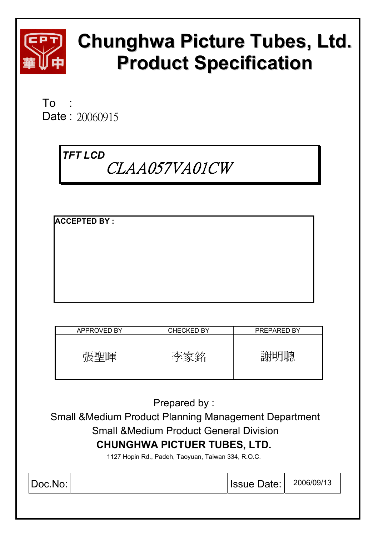

# **Chunghwa Picture Tubes, Ltd. Product Specification**

 $To$ Date: 20060915

# *TFT LCD*   $CLAA057VA01CW$

**ACCEPTED BY :** 

| APPROVED BY | <b>CHECKED BY</b> | PREPARED BY |
|-------------|-------------------|-------------|
| 届           | 学                 |             |

Prepared by :

 Small &Medium Product Planning Management Department Small &Medium Product General Division **CHUNGHWA PICTUER TUBES, LTD.** 

1127 Hopin Rd., Padeh, Taoyuan, Taiwan 334, R.O.C.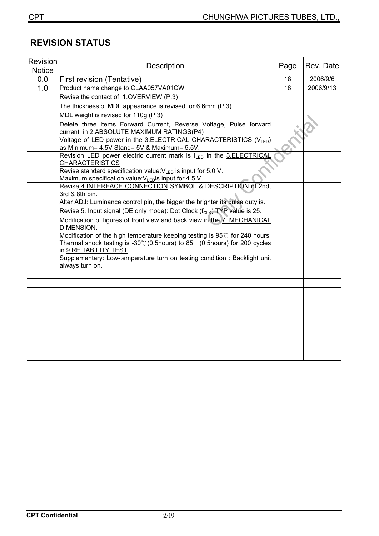# **REVISION STATUS**

| Revision<br><b>Notice</b> | Description                                                                                                                                                                                | Page | Rev. Date |
|---------------------------|--------------------------------------------------------------------------------------------------------------------------------------------------------------------------------------------|------|-----------|
| 0.0                       | First revision (Tentative)                                                                                                                                                                 | 18   | 2006/9/6  |
| 1.0                       | Product name change to CLAA057VA01CW                                                                                                                                                       | 18   | 2006/9/13 |
|                           | Revise the contact of 1.OVERVIEW (P.3)                                                                                                                                                     |      |           |
|                           | The thickness of MDL appearance is revised for 6.6mm (P.3)                                                                                                                                 |      |           |
|                           | MDL weight is revised for 110g (P.3)                                                                                                                                                       |      |           |
|                           | Delete three items Forward Current, Reverse Voltage, Pulse forward<br>current in 2.ABSOLUTE MAXIMUM RATINGS(P4)                                                                            |      |           |
|                           | Voltage of LED power in the 3.ELECTRICAL CHARACTERISTICS (VLED)<br>as Minimum= 4.5V Stand= 5V & Maximum= 5.5V.                                                                             |      |           |
|                           | Revision LED power electric current mark is ILED in the 3.ELECTRICAL<br><b>CHARACTERISTICS</b>                                                                                             |      |           |
|                           | Revise standard specification value: $V_{LED}$ is input for 5.0 V.<br>Maximum specification value: $V_{LED}$ is input for 4.5 V.                                                           |      |           |
|                           | Revise 4.INTERFACE CONNECTION SYMBOL & DESCRIPTION of 2nd,<br>3rd & 8th pin.                                                                                                               |      |           |
|                           | Alter ADJ: Luminance control pin, the bigger the brighter its pulse duty is.                                                                                                               |      |           |
|                           | Revise 5. Input signal (DE only mode): Dot Clock (f <sub>CLK</sub> ) TYP value is 25.                                                                                                      |      |           |
|                           | Modification of figures of front view and back view in the 7. MECHANICAL<br>DIMENSION.                                                                                                     |      |           |
|                           | Modification of the high temperature keeping testing is 95°C for 240 hours.<br>Thermal shock testing is $-30^{\circ}$ (0.5hours) to 85 (0.5hours) for 200 cycles<br>in 9.RELIABILITY TEST. |      |           |
|                           | Supplementary: Low-temperature turn on testing condition : Backlight unit<br>always turn on.                                                                                               |      |           |
|                           |                                                                                                                                                                                            |      |           |
|                           |                                                                                                                                                                                            |      |           |
|                           |                                                                                                                                                                                            |      |           |
|                           |                                                                                                                                                                                            |      |           |
|                           |                                                                                                                                                                                            |      |           |
|                           |                                                                                                                                                                                            |      |           |
|                           |                                                                                                                                                                                            |      |           |
|                           |                                                                                                                                                                                            |      |           |
|                           |                                                                                                                                                                                            |      |           |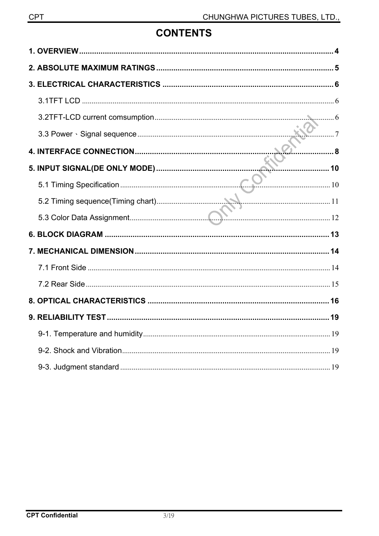# **CONTENTS**

| 5.1 Timing Specification 200 10 |  |
|---------------------------------|--|
|                                 |  |
|                                 |  |
|                                 |  |
|                                 |  |
|                                 |  |
|                                 |  |
|                                 |  |
|                                 |  |
|                                 |  |
|                                 |  |
|                                 |  |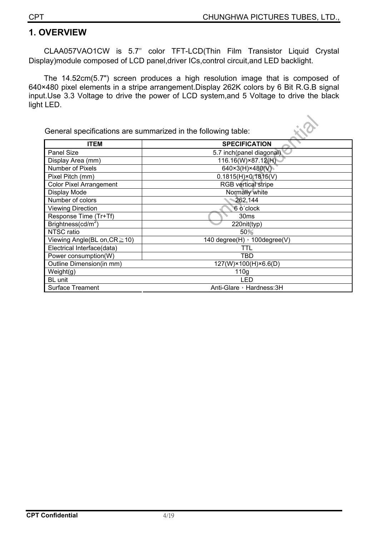### **1. OVERVIEW**

CLAA057VAO1CW is 5.7ʵ color TFT-LCD(Thin Film Transistor Liquid Crystal Display)module composed of LCD panel,driver ICs,control circuit,and LED backlight.

The 14.52cm(5.7") screen produces a high resolution image that is composed of 640×480 pixel elements in a stripe arrangement.Display 262K colors by 6 Bit R.G.B signal input.Use 3.3 Voltage to drive the power of LCD system,and 5 Voltage to drive the black light LED.

General specifications are summarized in the following table:

| <b>ITEM</b>                    | <b>SPECIFICATION</b>                |
|--------------------------------|-------------------------------------|
| Panel Size                     | 5.7 inch(panel diagonal)            |
| Display Area (mm)              | 116.16(W)×87.12(H)                  |
| Number of Pixels               | 640×3(H)×480(V)                     |
| Pixel Pitch (mm)               | $0.1815(H) \times 0.1815(V)$        |
| <b>Color Pixel Arrangement</b> | <b>RGB</b> vertical stripe          |
| Display Mode                   | Normally white                      |
| Number of colors               | 262,144                             |
| <b>Viewing Direction</b>       | 6 o'clock                           |
| Response Time (Tr+Tf)          | 30 <sub>ms</sub>                    |
| Brightness( $cd/m2$ )          | 220nit(typ)                         |
| NTSC ratio                     | 50%                                 |
| Viewing Angle(BL on, CR ≥ 10)  | 140 degree $(H)$ , 100 degree $(V)$ |
| Electrical Interface(data)     | TTL                                 |
| Power consumption(W)           | <b>TBD</b>                          |
| Outline Dimension(in mm)       | 127(W)×100(H)×6.6(D)                |
| Weight(g)                      | 110 <sub>g</sub>                    |
| BL unit                        | LED                                 |
| <b>Surface Treament</b>        | Anti-Glare, Hardness: 3H            |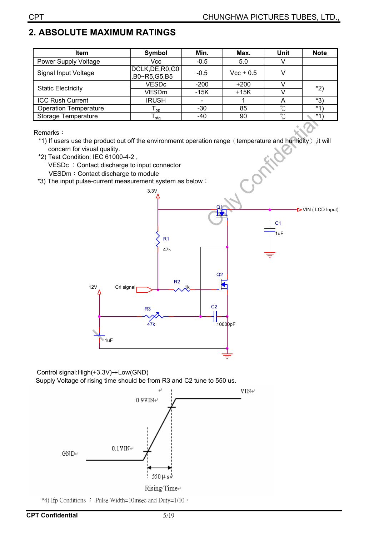# **2. ABSOLUTE MAXIMUM RATINGS**

| <b>Item</b>                  | Symbol                           | Min.             | Max.        | Unit   | <b>Note</b> |
|------------------------------|----------------------------------|------------------|-------------|--------|-------------|
| <b>Power Supply Voltage</b>  | Vcc                              | $-0.5$           | 5.0         |        |             |
| Signal Input Voltage         | DCLK, DE, R0, G0<br>B0~R5,G5,B5, | $-0.5$           | $Vec + 0.5$ |        |             |
| <b>Static Electricity</b>    | <b>VESDc</b>                     | $-200$           | $+200$      |        | $*2)$       |
|                              | VESDm                            | $-15K$<br>$+15K$ |             |        |             |
| <b>ICC Rush Current</b>      | <b>IRUSH</b>                     |                  |             |        | *3)         |
| <b>Operation Temperature</b> | l <sub>op</sub>                  | $-30$            | 85          | $\sim$ | $*1$        |
| <b>Storage Temperature</b>   | l <sub>stq</sub>                 | -40              | 90          | $\sim$ | $*1$        |

Remarks:

\*1) If users use the product out off the environmemt operation range (temperature and humidity), it will concern for visual quality.

- \*2) Test Condition: IEC 61000-4-2 , VESDc : Contact discharge to input connector VESDm: Contact discharge to module
- \*3) The input pulse-current measurement system as below:



Control signal: $High(+3.3V) \rightarrow Low(GND)$ Supply Voltage of rising time should be from R3 and C2 tune to 550 us.



\*4) Ifp Conditions : Pulse Width=10msec and Duty=1/10 °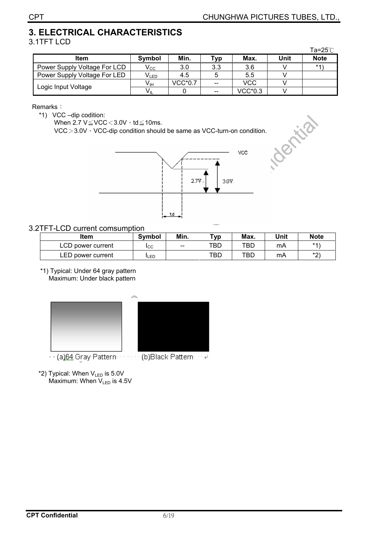# **3. ELECTRICAL CHARACTERISTICS**

#### 3.1TFT LCD

|                              |                 |                |       |                |      | Ta=25 $^{\circ}$ C |
|------------------------------|-----------------|----------------|-------|----------------|------|--------------------|
| Item                         | Symbol          | Min.           | Typ   | Max.           | Unit | <b>Note</b>        |
| Power Supply Voltage For LCD | $V_{\rm CC}$    | 3.0            | 3.3   | 3.6            |      | $*1)$              |
| Power Supply Voltage For LED | $V_{LED}$       | 4.5            |       | 5.5            |      |                    |
| Logic Input Voltage          | $V_{\text{IH}}$ | <b>VCC*0.7</b> | --    | VCC            |      |                    |
|                              | $V_{IL}$        |                | $- -$ | <b>VCC*0.3</b> |      |                    |

#### Remarks:

\*1) VCC -dip codition:

When  $2.7 \text{ V} \leq \text{VCC} \leq 3.0 \text{V} \cdot \text{td} \leq 10 \text{ms}.$ 

 $VCC > 3.0V$ , VCC-dip condition should be same as VCC-turn-on condition.



#### 3.2TFT-LCD current comsumption

| Item              | <b>Symbol</b> | Min.  | $Tv$ p | Max. | Unit | <b>Note</b> |
|-------------------|---------------|-------|--------|------|------|-------------|
| LCD power current | <b>ICC</b>    | $- -$ | TBD    | TBD  | mΑ   | $*4'$       |
| LED power current | LED           |       | TBD    | TBD  | mA   | $*$         |

\*1) Typical: Under 64 gray pattern Maximum: Under black pattern



- · · (a)64 Gray Pattern · · · · · · · (b)Black Pattern · · · +
- \*2) Typical: When VLED is 5.0V Maximum: When V<sub>LED</sub> is 4.5V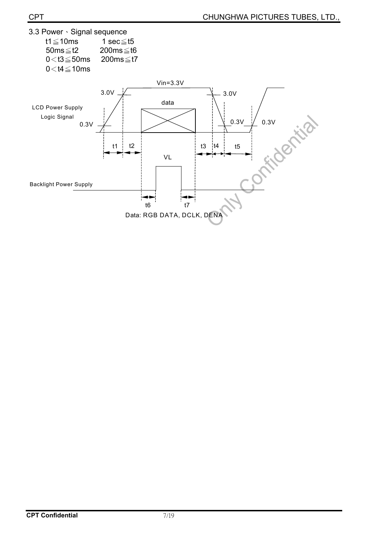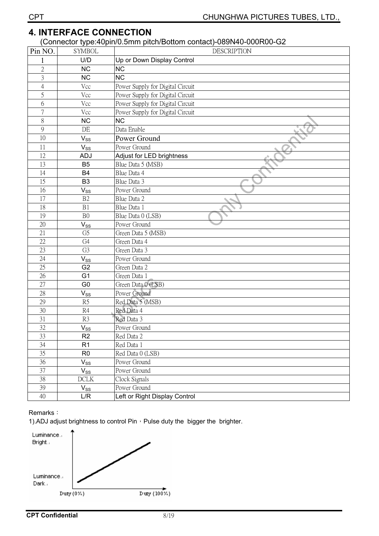## **4. INTERFACE CONNECTION**

#### ʳʳʳʳʳʳʳ(Connector type:40pin/0.5mm pitch/Bottom contact)-089N40-000R00-G2

| Pin NO.         | <b>SYMBOL</b>  | <b>DESCRIPTION</b>               |
|-----------------|----------------|----------------------------------|
|                 | U/D            | Up or Down Display Control       |
| $\sqrt{2}$      | <b>NC</b>      | <b>NC</b>                        |
| $\overline{3}$  | <b>NC</b>      | <b>NC</b>                        |
| $\overline{4}$  | Vcc            | Power Supply for Digital Circuit |
| 5               | Vcc            | Power Supply for Digital Circuit |
| 6               | Vcc            | Power Supply for Digital Circuit |
| 7               | Vcc            | Power Supply for Digital Circuit |
| 8               | <b>NC</b>      | <b>NC</b>                        |
| 9               | DE             | Data Enable                      |
| 10              | $V_{SS}$       | Power Ground                     |
| 11              | $V_{SS}$       | Power Ground                     |
| 12              | ADJ            | Adjust for LED brightness        |
| 13              | B <sub>5</sub> | Blue Data 5 (MSB)                |
| 14              | <b>B4</b>      | Blue Data 4                      |
| 15              | B <sub>3</sub> | Blue Data 3                      |
| 16              | $V_{SS}$       | Power Ground                     |
| 17              | B2             | Blue Data 2                      |
| 18              | B1             | Blue Data 1                      |
| 19              | B <sub>0</sub> | Blue Data 0 (LSB)                |
| 20              | $V_{SS}$       | Power Ground                     |
| 21              | G <sub>5</sub> | Green Data 5 (MSB)               |
| 22              | G4             | Green Data 4                     |
| 23              | G <sub>3</sub> | Green Data 3                     |
| 24              | $V_{SS}$       | Power Ground                     |
| 25              | G <sub>2</sub> | Green Data 2                     |
| 26              | G <sub>1</sub> | Green Data 1                     |
| 27              | G <sub>0</sub> | Green Data 0 (LSB)               |
| 28              | $V_{SS}$       | Power Ground                     |
| 29              | R5             | Red Data 5 (MSB)                 |
| 30              | R4             | Red Data 4                       |
| 31              | R3             | Red Data 3                       |
| 32              | $V_{SS}$       | Power Ground                     |
| 33              | R2             | Red Data 2                       |
| 34              | R <sub>1</sub> | Red Data 1                       |
| 35              | R <sub>0</sub> | Red Data 0 (LSB)                 |
| 36              | $V_{SS}$       | Power Ground                     |
| 37              | $V_{SS}$       | Power Ground                     |
| $\overline{38}$ | DCLK           | Clock Signals                    |
| 39              | $V_{SS}$       | Power Ground                     |
| 40              | L/R            | Left or Right Display Control    |

#### Remarks:

1).ADJ adjust brightness to control Pin  $\cdot$  Pulse duty the bigger the brighter.

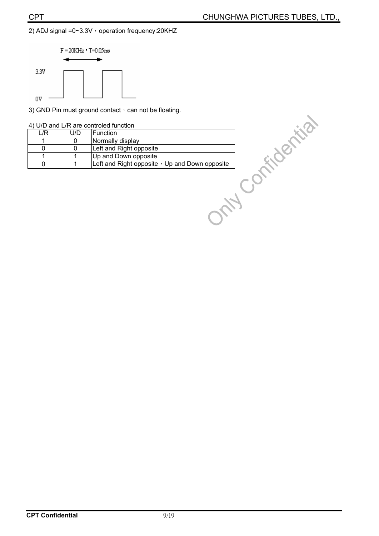#### 2) ADJ signal =0~3.3V  $\cdot$  operation frequency:20KHZ



|  |  |  |  |  | 4) U/D and L/R are controled function |  |
|--|--|--|--|--|---------------------------------------|--|
|--|--|--|--|--|---------------------------------------|--|

|             |     | 3) GND Pin must ground contact, can not be floating. |
|-------------|-----|------------------------------------------------------|
|             |     | 4) U/D and L/R are controled function                |
| L/R         | U/D | Function                                             |
|             | 0   | Normally display                                     |
| 0           | 0   | Left and Right opposite                              |
|             |     | Up and Down opposite                                 |
| $\mathbf 0$ |     | Left and Right opposite $\cdot$ Up and Down opposite |
|             |     |                                                      |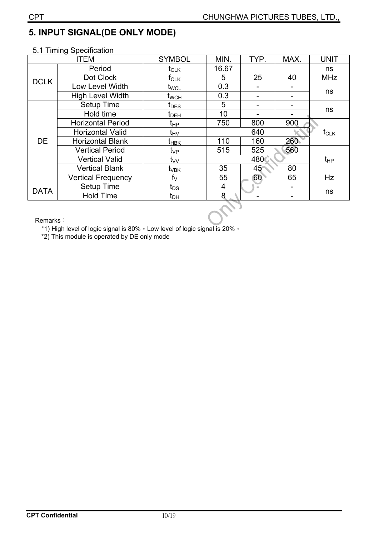# **5. INPUT SIGNAL(DE ONLY MODE)**

#### 5.1 Timing Specification

|                                                                                                                                                                                                                                                                                                                                                                                                                                                                                                                                                                                                                                                                                                                                                                                   | <b>ITEM</b> | <b>SYMBOL</b> | MIN. | TYP. | MAX. | <b>UNIT</b>      |  |
|-----------------------------------------------------------------------------------------------------------------------------------------------------------------------------------------------------------------------------------------------------------------------------------------------------------------------------------------------------------------------------------------------------------------------------------------------------------------------------------------------------------------------------------------------------------------------------------------------------------------------------------------------------------------------------------------------------------------------------------------------------------------------------------|-------------|---------------|------|------|------|------------------|--|
| Period<br>16.67<br>$t_{CLK}$<br>25<br>Dot Clock<br>5<br>f <sub>CLK</sub><br><b>DCLK</b><br>0.3<br>Low Level Width<br>t <sub>wc∟</sub><br><b>High Level Width</b><br>0.3<br>t <sub>wсн</sub><br>Setup Time<br>5<br>$t_{\text{DES}}$<br>Hold time<br>10<br>$t_{DEH}$<br>750<br><b>Horizontal Period</b><br>800<br>t <sub>НР</sub><br><b>Horizontal Valid</b><br>640<br>t <sub>HV</sub><br><b>DE</b><br>110<br><b>Horizontal Blank</b><br>160<br>t <sub>нвк</sub><br>515<br>525<br><b>Vertical Period</b><br>t <sub>VP</sub><br>480<br><b>Vertical Valid</b><br>t <sub>vv</sub><br>35<br>45<br><b>Vertical Blank</b><br>t <sub>∨вк</sub><br>60<br>55<br>$f_V$<br><b>Vertical Frequency</b><br>Setup Time<br>4<br>$t_{DS}$<br><b>DATA</b><br><b>Hold Time</b><br>8<br>t <sub>DH</sub> |             |               |      |      |      | ns               |  |
|                                                                                                                                                                                                                                                                                                                                                                                                                                                                                                                                                                                                                                                                                                                                                                                   |             |               |      |      | 40   | <b>MHz</b>       |  |
|                                                                                                                                                                                                                                                                                                                                                                                                                                                                                                                                                                                                                                                                                                                                                                                   |             |               |      |      |      |                  |  |
|                                                                                                                                                                                                                                                                                                                                                                                                                                                                                                                                                                                                                                                                                                                                                                                   |             | ns            |      |      |      |                  |  |
|                                                                                                                                                                                                                                                                                                                                                                                                                                                                                                                                                                                                                                                                                                                                                                                   |             |               |      |      |      |                  |  |
|                                                                                                                                                                                                                                                                                                                                                                                                                                                                                                                                                                                                                                                                                                                                                                                   |             |               |      |      |      | ns               |  |
|                                                                                                                                                                                                                                                                                                                                                                                                                                                                                                                                                                                                                                                                                                                                                                                   |             |               |      |      | 900  |                  |  |
|                                                                                                                                                                                                                                                                                                                                                                                                                                                                                                                                                                                                                                                                                                                                                                                   |             |               |      |      |      | t <sub>CLK</sub> |  |
|                                                                                                                                                                                                                                                                                                                                                                                                                                                                                                                                                                                                                                                                                                                                                                                   |             |               |      |      | 260  |                  |  |
|                                                                                                                                                                                                                                                                                                                                                                                                                                                                                                                                                                                                                                                                                                                                                                                   |             |               |      |      | 560  |                  |  |
|                                                                                                                                                                                                                                                                                                                                                                                                                                                                                                                                                                                                                                                                                                                                                                                   |             |               |      |      |      | $t_{HP}$         |  |
|                                                                                                                                                                                                                                                                                                                                                                                                                                                                                                                                                                                                                                                                                                                                                                                   |             |               |      |      | 80   |                  |  |
|                                                                                                                                                                                                                                                                                                                                                                                                                                                                                                                                                                                                                                                                                                                                                                                   |             |               |      |      | 65   | Hz               |  |
|                                                                                                                                                                                                                                                                                                                                                                                                                                                                                                                                                                                                                                                                                                                                                                                   |             |               |      |      |      |                  |  |
|                                                                                                                                                                                                                                                                                                                                                                                                                                                                                                                                                                                                                                                                                                                                                                                   |             |               |      |      |      | ns               |  |
|                                                                                                                                                                                                                                                                                                                                                                                                                                                                                                                                                                                                                                                                                                                                                                                   |             |               |      |      |      |                  |  |

Remarks:

\*1) High level of logic signal is 80%  $\cdot$  Low level of logic signal is 20%  $\cdot$ \*2) This module is operated by DE only mode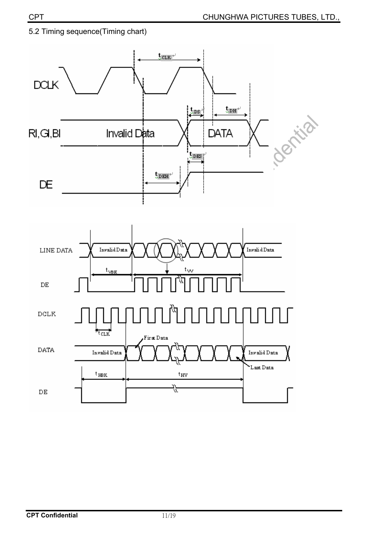

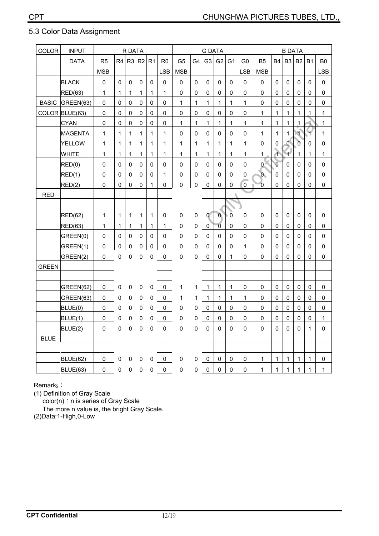| COLOR        | <b>INPUT</b>    | R DATA         |              |              |              | <b>G DATA</b> |                     |                |              |              | <b>B DATA</b>  |                |                |                |                |                |                |              |                |
|--------------|-----------------|----------------|--------------|--------------|--------------|---------------|---------------------|----------------|--------------|--------------|----------------|----------------|----------------|----------------|----------------|----------------|----------------|--------------|----------------|
|              | <b>DATA</b>     | R <sub>5</sub> | R4           | R3   R2   R1 |              |               | R <sub>0</sub>      | G <sub>5</sub> | G4           | G3           | G <sub>2</sub> | G <sub>1</sub> | G <sub>0</sub> | <b>B5</b>      | <b>B4</b>      | B <sub>3</sub> | <b>B2</b>      | <b>B1</b>    | B <sub>0</sub> |
|              |                 | <b>MSB</b>     |              |              |              |               | <b>LSB</b>          | <b>MSB</b>     |              |              |                |                | <b>LSB</b>     | <b>MSB</b>     |                |                |                |              | <b>LSB</b>     |
|              | <b>BLACK</b>    | $\pmb{0}$      | 0            | 0            | 0            | $\mathsf 0$   | 0                   | 0              | 0            | 0            | 0              | 0              | 0              | $\mathsf 0$    | 0              | 0              | 0              | 0            | 0              |
|              | <b>RED(63)</b>  | $\mathbf{1}$   | $\mathbf{1}$ | $\mathbf 1$  | $\mathbf{1}$ | $\mathbf{1}$  | $\mathbf{1}$        | $\pmb{0}$      | $\mathbf 0$  | 0            | 0              | 0              | 0              | $\mathbf 0$    | $\pmb{0}$      | 0              | 0              | 0            | 0              |
| <b>BASIC</b> | GREEN(63)       | 0              | $\mathbf{0}$ | 0            | $\Omega$     | 0             | 0                   | 1              | $\mathbf{1}$ | 1            | $\mathbf{1}$   | $\mathbf{1}$   | $\mathbf{1}$   | $\mathbf{0}$   | 0              | 0              | 0              | 0            | 0              |
|              | COLOR BLUE(63)  | 0              | $\Omega$     | 0            | 0            | 0             | 0                   | 0              | $\mathbf{0}$ | 0            | 0              | 0              | 0              | 1              | $\mathbf{1}$   | 1              | $\mathbf{1}$   | .1           | 1              |
|              | <b>CYAN</b>     | $\mathsf 0$    | $\mathbf 0$  | $\pmb{0}$    | $\mathsf 0$  | $\mathsf 0$   | 0                   | $\mathbf 1$    | $\mathbf 1$  | $\mathbf{1}$ | $\mathbf{1}$   | $\mathbf{1}$   | $\mathbf{1}$   | $\mathbf{1}$   | $\mathbf{1}$   | $\mathbf{1}$   | $\mathbf{1}$   | 1            | $\mathbf 1$    |
|              | <b>MAGENTA</b>  | 1              | $\mathbf{1}$ | 1            | 1            | 1             | 1                   | 0              | $\Omega$     | $\Omega$     | 0              | 0              | 0              | 1              | $\mathbf{1}$   | 1              | $\mathbf{A}$   | ₩            | 1              |
|              | <b>YELLOW</b>   | $\mathbf 1$    | $\mathbf{1}$ | $\mathbf{1}$ | $\mathbf{1}$ | 1             | $\mathbf 1$         | $\mathbf 1$    | $\mathbf{1}$ | 1            | $\mathbf{1}$   | $\mathbf{1}$   | 1              | 0              | 0              | Ō              | $\mathfrak{g}$ | 0            | $\mathsf 0$    |
|              | <b>WHITE</b>    | $\mathbf{1}$   | $\mathbf{1}$ | 1            | $\mathbf{1}$ | $\mathbf{1}$  | 1                   | 1              | $\mathbf 1$  | $\mathbf 1$  | $\mathbf{1}$   | $\mathbf{1}$   | 1              | 1              | ተ              | Ŧ              | $\mathbf{1}$   | $\mathbf{1}$ | 1              |
|              | RED(0)          | 0              | 0            | 0            | $\mathbf 0$  | 0             | 0                   | 0              | $\mathbf 0$  | $\mathbf 0$  | $\mathbf 0$    | 0              | 0              | $\mathbf{0}$   | $\overline{0}$ | $\mathbf 0$    | 0              | 0            | $\mathsf 0$    |
|              | RED(1)          | 0              | 0            | 0            | 0            | 0             | $\mathbf{1}$        | 0              | 0            | 0            | 0              | 0              | 0              | $\mathbf{0}$   | 0              | 0              | 0              | 0            | 0              |
|              | RED(2)          | 0              | 0            | 0            | 0            | $\mathbf{1}$  | $\mathsf{O}\xspace$ | $\mathbf 0$    | $\mathbf 0$  | $\mathbf 0$  | $\mathbf 0$    | 0              | $\overline{0}$ | $\overline{0}$ | 0              | 0              | $\mathbf 0$    | 0            | $\pmb{0}$      |
| <b>RED</b>   |                 |                |              |              |              |               |                     |                |              |              |                |                |                |                |                |                |                |              |                |
|              |                 |                |              |              |              |               |                     |                |              |              |                |                |                |                |                |                |                |              |                |
|              | RED(62)         | $\mathbf{1}$   | $\mathbf{1}$ | 1            | $\mathbf{1}$ | $\mathbf{1}$  | 0                   | 0              | 0            | $\mathbf{0}$ | $\mathbf{0}$   | $\mathbf 0$    | 0              | 0              | 0              | 0              | 0              | 0            | 0              |
|              | <b>RED(63)</b>  | $\mathbf{1}$   | $\mathbf 1$  | 1            | $\mathbf{1}$ | 1             | $\mathbf{1}$        | 0              | 0            | 0            | $\overline{0}$ | 0              | 0              | 0              | $\mathbf 0$    | 0              | 0              | 0            | 0              |
|              | GREEN(0)        | 0              | 0            | 0            | 0            | 0             | 0                   | 0              | 0            | 0            | 0              | 0              | 0              | 0              | 0              | 0              | 0              | 0            | 0              |
|              | GREEN(1)        | $\mathbf 0$    | $\mathbf 0$  | $\pmb{0}$    | 0            | $\mathbf 0$   | $\mathbf 0$         | 0              | $\pmb{0}$    | $\mathbf 0$  | $\Omega$       | 0              | $\mathbf{1}$   | $\mathbf 0$    | $\Omega$       | 0              | $\mathbf 0$    | 0            | 0              |
|              | GREEN(2)        | 0              | $\mathbf 0$  | 0            | 0            | 0             | $\pmb{0}$           | 0              | $\mathbf 0$  | $\pmb{0}$    | 0              | 1              | 0              | 0              | 0              | 0              | 0              | 0            | 0              |
| <b>GREEN</b> |                 |                |              |              |              |               |                     |                |              |              |                |                |                |                |                |                |                |              |                |
|              |                 |                |              |              |              |               |                     |                |              |              |                |                |                |                |                |                |                |              |                |
|              | GREEN(62)       | 0              | 0            | 0            | 0            | 0             | 0                   | 1              | 1            | $\mathbf{1}$ | $\mathbf 1$    | 1              | 0              | 0              | 0              | 0              | 0              | 0            | 0              |
|              | GREEN(63)       | 0              | $\mathbf 0$  | 0            | 0            | 0             | 0                   | 1              | 1            | $\mathbf{1}$ | $\mathbf{1}$   | 1              | 1              | 0              | $\mathsf 0$    | 0              | 0              | 0            | 0              |
|              | BLUE(0)         | 0              | $\pmb{0}$    | 0            | 0            | $\pmb{0}$     | $\pmb{0}$           | $\pmb{0}$      | $\pmb{0}$    | $\pmb{0}$    | 0              | 0              | 0              | 0              | 0              | 0              | 0              | 0            | 0              |
|              | BLUE(1)         | 0              | 0            | 0            | 0            | 0             | $\pmb{0}$           | 0              | 0            | $\pmb{0}$    | 0              | 0              | 0              | 0              | 0              | 0              | $\mathbf 0$    | $\mathbf 0$  | 1              |
|              | BLUE(2)         | 0              | $\pmb{0}$    | 0            | $\Omega$     | 0             | 0                   | 0              | $\mathbf 0$  | $\mathbf 0$  | $\Omega$       | 0              | 0              | $\Omega$       | 0              | 0              | $\Omega$       | $\mathbf{1}$ | 0              |
| <b>BLUE</b>  |                 |                |              |              |              |               |                     |                |              |              |                |                |                |                |                |                |                |              |                |
|              |                 |                |              |              |              |               |                     |                |              |              |                |                |                |                |                |                |                |              |                |
|              | <b>BLUE(62)</b> | 0              | 0            | 0            | 0            | 0             | $\pmb{0}$           | 0              | 0            | 0            | 0              | 0              | 0              | 1              | 1              | 1              | $\mathbf{1}$   | 1            | 0              |
|              | <b>BLUE(63)</b> | 0              | 0            | 0            | 0            | 0             | 0                   | 0              | $\mathsf 0$  | $\mathbf 0$  | $\mathbf 0$    | $\mathbf{0}$   | 0              | $\mathbf 1$    | 1              | 1              | $\mathbf{1}$   | 1            | 1              |

#### 5.3 Color Data Assignment

Remark<sub>s</sub>:

(1) Definition of Gray Scale

 $color(n): n$  is series of Gray Scale

The more n value is, the bright Gray Scale.

(2)Data:1-High,0-Low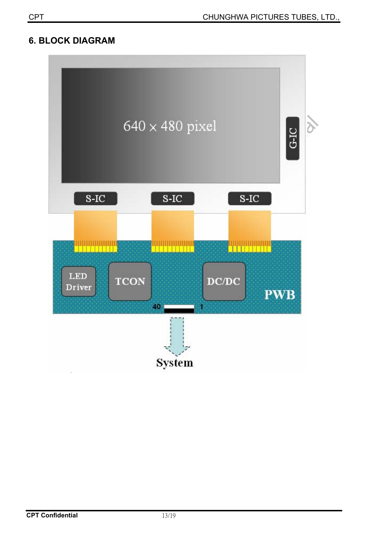### **6. BLOCK DIAGRAM**

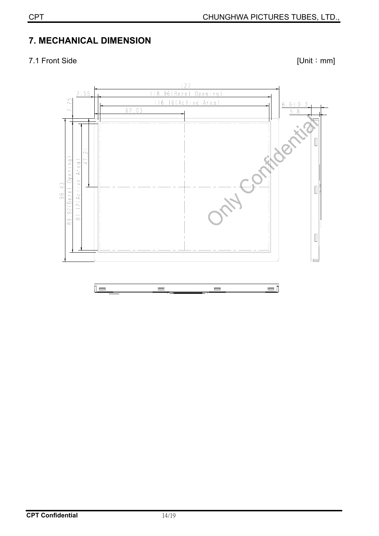# **7. MECHANICAL DIMENSION**

7.1 Front Side [Unit: mm]

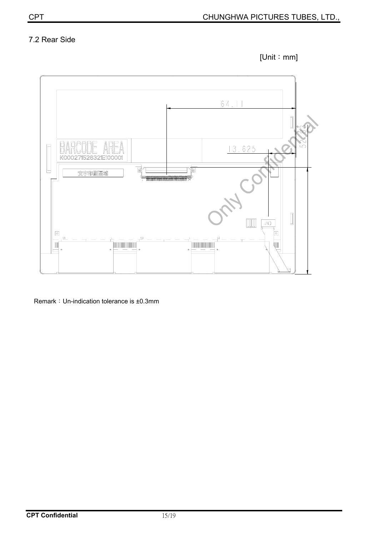## 7.2 Rear Side





Remark: Un-indication tolerance is ±0.3mm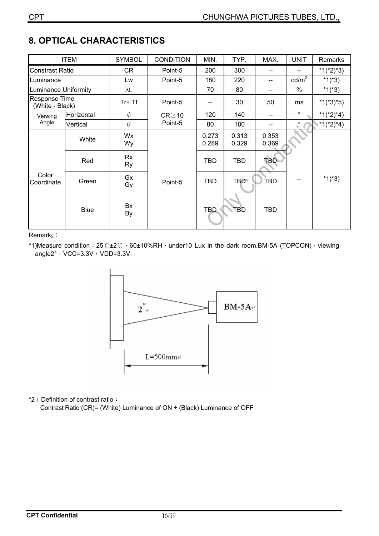| <b>ITEM</b>                             |             | <b>SYMBOL</b>   | <b>CONDITION</b>       | MIN.           | TYP.           | MAX.           | <b>UNIT</b>     | Remarks     |
|-----------------------------------------|-------------|-----------------|------------------------|----------------|----------------|----------------|-----------------|-------------|
| <b>Constrast Ratio</b>                  |             | CR              | Point-5                | 200            | 300            |                | --              | $*1)*2)*3)$ |
| Luminance                               |             | Lw              | Point-5                | 180            | 220            | --             | $\text{cd/m}^2$ | *1)*3)      |
| <b>Luminance Uniformity</b>             |             | $\Delta L$      |                        | 70             | 80             | --             | $\frac{0}{0}$   | *1)*3)      |
| <b>Response Time</b><br>(White - Black) |             | Tr+ Tf          | Point-5                | --             | 30             | 50             | ms              | $*1)*3*5)$  |
| Viewing<br>Angle                        | Horizontal  | $\phi$          | $CR \ge 10$<br>Point-5 | 120            | 140            |                | $\circ$         | *1)*2)*4)   |
|                                         | Vertical    | $\theta$        |                        | 80             | 100            |                | $\circ$         | *1)*2)*4)   |
| Color<br>Coordinate                     | White       | Wx<br>Wy        | Point-5                | 0.273<br>0.289 | 0.313<br>0.329 | 0.353<br>0.369 |                 |             |
|                                         | Red         | Rx<br><b>Ry</b> |                        | <b>TBD</b>     | <b>TBD</b>     | <b>TBD</b>     |                 |             |
|                                         | Green       | Gx<br>Gy        |                        | <b>TBD</b>     | <b>TBD</b>     | <b>TBD</b>     | --              | *1)*3)      |
|                                         | <b>Blue</b> | Bx<br>By        |                        | <b>TBD</b>     | TBD            | <b>TBD</b>     |                 |             |

# **8. OPTICAL CHARACTERISTICS**

Remark<sub>s</sub>:

\*1)Measure condition:  $25^\circ$ C $\pm 2^\circ$ C  $\cdot$  60 $\pm$ 10%RH $\cdot$  under10 Lux in the dark room.BM-5A (TOPCON) $\cdot$  viewing angle2 $^{\circ}$ , VCC=3.3V, VDD=3.3V.



\*2) Definition of contrast ratio:

Contrast Ratio (CR)= (White) Luminance of ON ÷ (Black) Luminance of OFF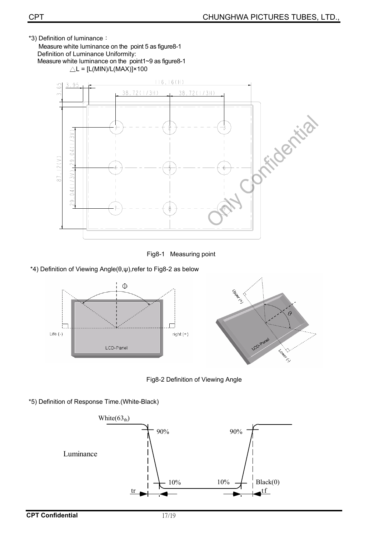\*3) Definition of luminance:

Measure white luminance on the point 5 as figure8-1 Definition of Luminance Uniformity: Measure white luminance on the point1~9 as figure8-1  $\triangle L = [L(MIN)/L(MAX)] \times 100$ 





\*4) Definition of Viewing Angle( $\theta, \psi$ ),refer to Fig8-2 as below



Fig8-2 Definition of Viewing Angle

\*5) Definition of Response Time.(White-Black)

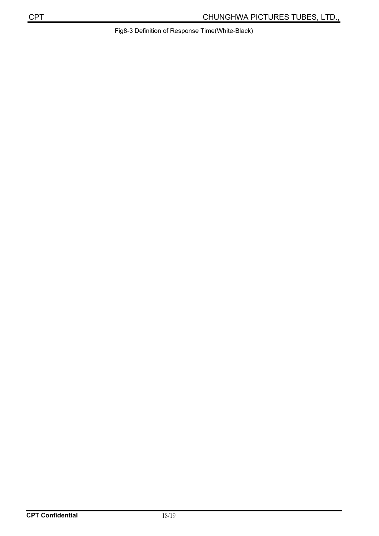Fig8-3 Definition of Response Time(White-Black)